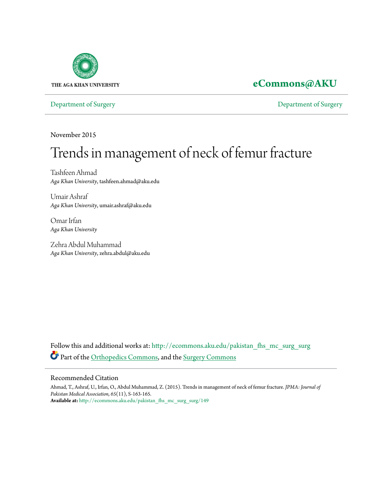

# **[eCommons@AKU](http://ecommons.aku.edu?utm_source=ecommons.aku.edu%2Fpakistan_fhs_mc_surg_surg%2F149&utm_medium=PDF&utm_campaign=PDFCoverPages)**

[Department of Surgery](http://ecommons.aku.edu/pakistan_fhs_mc_surg_surg?utm_source=ecommons.aku.edu%2Fpakistan_fhs_mc_surg_surg%2F149&utm_medium=PDF&utm_campaign=PDFCoverPages) [Department of Surgery](http://ecommons.aku.edu/pakistan_fhs_mc_surg?utm_source=ecommons.aku.edu%2Fpakistan_fhs_mc_surg_surg%2F149&utm_medium=PDF&utm_campaign=PDFCoverPages)

November 2015

# Trends in management of neck of femur fracture

Tashfeen Ahmad *Aga Khan University*, tashfeen.ahmad@aku.edu

Umair Ashraf *Aga Khan University*, umair.ashraf@aku.edu

Omar Irfan *Aga Khan University*

Zehra Abdul Muhammad *Aga Khan University*, zehra.abdul@aku.edu

Follow this and additional works at: [http://ecommons.aku.edu/pakistan\\_fhs\\_mc\\_surg\\_surg](http://ecommons.aku.edu/pakistan_fhs_mc_surg_surg?utm_source=ecommons.aku.edu%2Fpakistan_fhs_mc_surg_surg%2F149&utm_medium=PDF&utm_campaign=PDFCoverPages) Part of the [Orthopedics Commons](http://network.bepress.com/hgg/discipline/696?utm_source=ecommons.aku.edu%2Fpakistan_fhs_mc_surg_surg%2F149&utm_medium=PDF&utm_campaign=PDFCoverPages), and the [Surgery Commons](http://network.bepress.com/hgg/discipline/706?utm_source=ecommons.aku.edu%2Fpakistan_fhs_mc_surg_surg%2F149&utm_medium=PDF&utm_campaign=PDFCoverPages)

#### Recommended Citation

Ahmad, T., Ashraf, U., Irfan, O., Abdul Muhammad, Z. (2015). Trends in management of neck of femur fracture. *JPMA: Journal of Pakistan Medical Association, 65*(11), S-163-165. **Available at:** [http://ecommons.aku.edu/pakistan\\_fhs\\_mc\\_surg\\_surg/149](http://ecommons.aku.edu/pakistan_fhs_mc_surg_surg/149)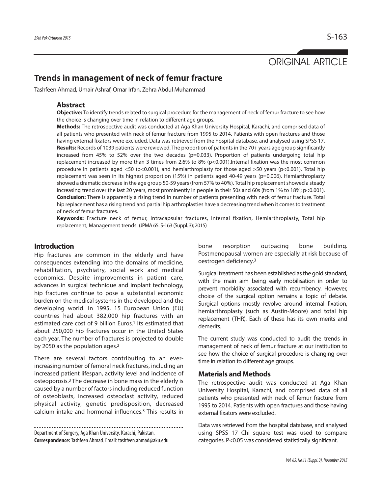# ORIGINAL ARTICLE

## **Trends in management of neck of femur fracture**

Tashfeen Ahmad, Umair Ashraf, Omar Irfan, Zehra Abdul Muhammad

#### **Abstract**

**Objective:** To identify trends related to surgical procedure for the management of neck of femur fracture to see how the choice is changing over time in relation to different age groups.

**Methods:** The retrospective audit was conducted at Aga Khan University Hospital, Karachi, and comprised data of all patients who presented with neck of femur fracture from 1995 to 2014. Patients with open fractures and those having external fixators were excluded. Data was retrieved from the hospital database, and analysed using SPSS 17. **Results:** Records of 1039 patients were reviewed. The proportion of patientsin the 70+ years age group significantly increased from 45% to 52% over the two decades ( $p=0.033$ ). Proportion of patients undergoing total hip replacement increased by more than 3 times from 2.6% to 8% (p<0.001).Internal fixation was the most common procedure in patients aged <50 (p<0.001), and hemiarthroplasty for those aged >50 years (p<0.001). Total hip replacement was seen in its highest proportion (15%) in patients aged 40-49 years (p=0.006). Hemiarthroplasty showed a dramatic decrease in the age group 50-59 years (from 57% to 40%). Total hip replacement showed a steady increasing trend over the last 20 years, most prominently in people in their 50s and 60s (from 1% to 18%; p<0.001). **Conclusion:** There is apparently a rising trend in number of patients presenting with neck of femur fracture. Total hip replacement has a rising trend and partial hip arthroplasties have a decreasing trend when it comes to treatment of neck of femur fractures.

**Keywords:** Fracture neck of femur, Intracapsular fractures, Internal fixation, Hemiarthroplasty, Total hip replacement, Management trends. (JPMA65: S-163 (Suppl. 3); 2015)

### **Introduction**

Hip fractures are common in the elderly and have consequences extending into the domains of medicine, rehabilitation, psychiatry, social work and medical economics. Despite improvements in patient care, advances in surgical technique and implant technology, hip fractures continue to pose a substantial economic burden on the medical systems in the developed and the developing world. In 1995, 15 European Union (EU) countries had about 382,000 hip fractures with an estimated care cost of 9 billion Euros. <sup>1</sup> Its estimated that about 250,000 hip fractures occur in the United States each year. The number of fractures is projected to double by 2050 as the population ages. 2

There are several factors contributing to an everincreasing number of femoral neck fractures, including an increased patient lifespan, activity level and incidence of osteoporosis. <sup>3</sup> The decrease in bone mass in the elderly is caused by a number of factors including reduced function of osteoblasts, increased osteoclast activity, reduced physical activity, genetic predisposition, decreased calcium intake and hormonal influences. <sup>3</sup> This results in

Department of Surgery, Aga Khan University, Karachi, Pakistan. **Correspondence:**Tashfeen Ahmad.Email: tashfeen.ahmad@aku.edu bone resorption outpacing bone building. Postmenopausal women are especially at risk because of oestrogen deficiency. 3

Surgical treatment has been established as the gold standard, with the main aim being early mobilisation in order to prevent morbidity associated with recumbency. However, choice of the surgical option remains a topic of debate. Surgical options mostly revolve around internal fixation, hemiarthroplasty (such as Austin-Moore) and total hip replacement (THR). Each of these has its own merits and demerits.

The current study was conducted to audit the trends in management of neck of femur fracture at our institution to see how the choice of surgical procedure is changing over time in relation to different age groups.

#### **Materials and Methods**

The retrospective audit was conducted at Aga Khan University Hospital, Karachi, and comprised data of all patients who presented with neck of femur fracture from 1995 to 2014. Patients with open fractures and those having external fixators were excluded.

Data was retrieved from the hospital database, and analysed using SPSS 17 Chi square test was used to compare categories. P<0.05 was considered statistically significant.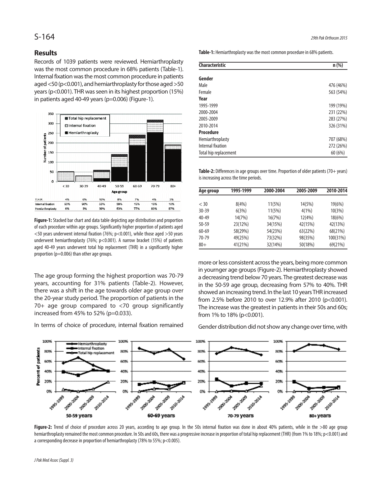#### **Results**

Records of 1039 patients were reviewed. Hemiarthroplasty was the most common procedure in 68% patients (Table-1). Internal fixation was the most common procedure in patients aged  $<$  50 (p $<$ 0.001), and hemiarthroplasty for those aged  $>$  50 years ( $p$ <0.001). THR was seen in its highest proportion (15%) in patients aged 40-49 years (p=0.006) (Figure-1).



Figure-1: Stacked bar chart and data table depicting age distribution and proportion of each procedure within age groups. Significantly higher proportion of patients aged  $<$  50 years underwent internal fixation (76%; p $<$ 0.001), while those aged  $>$  50 years underwent hemiarthroplasty (76%; p<0.001). A narrow bracket (15%) of patients aged 40-49 years underwent total hip replacement (THR) in a significantly higher proportion ( $p=0.006$ ) than other age groups.

The age group forming the highest proportion was 70-79 years, accounting for 31% patients (Table-2). However, there was a shift in the age towards older age group over the 20-year study period. The proportion of patients in the 70+ age group compared to <70 group significantly increased from 45% to 52% (p=0.033).

In terms of choice of procedure, internal fixation remained

Table-1: Hemiarthroplasty was the most common procedure in 68% patients.

| <b>Characteristic</b> | $n$ (%)   |
|-----------------------|-----------|
| Gender                |           |
| Male                  | 476 (46%) |
| Female                | 563 (54%) |
| Year                  |           |
| 1995-1999             | 199 (19%) |
| 2000-2004             | 231 (22%) |
| 2005-2009             | 283 (27%) |
| 2010-2014             | 326 (31%) |
| <b>Procedure</b>      |           |
| Hemiarthroplasty      | 707 (68%) |
| Internal fixation     | 272 (26%) |
| Total hip replacement | 60(6%)    |

**Table-2:** Differences in age groups over time. Proportion of older patients (70+ years) is increasing across the time periods.

| Age group | 1995-1999 | 2000-2004 | 2005-2009 | 2010-2014 |
|-----------|-----------|-----------|-----------|-----------|
|           |           |           |           |           |
| $<$ 30    | 8(4%)     | 11(5%)    | 14(5%)    | 19(6%)    |
| $30 - 39$ | 6(3%)     | 11(5%)    | 4(1%)     | 10(3%)    |
| $40 - 49$ | 14(7%)    | 16(7%)    | 12(4%)    | 18(6%)    |
| $50 - 59$ | 23(12%)   | 34(15%)   | 42(15%)   | 42(13%)   |
| $60 - 69$ | 58(29%)   | 54(23%)   | 63(22%)   | 68(21%)   |
| 70-79     | 49(25%)   | 73(32%)   | 98(35%)   | 100(31%)  |
| $80+$     | 41(21%)   | 32(14%)   | 50(18%)   | 69(21%)   |

more or less consistent across the years, being more common in yournger age groups(Figure-2). Hemiarthroplasty showed a decreasing trend below 70 years.The greatest decrease was in the 50-59 age group, decreasing from 57% to 40%. THR showed an increasing trend. In the last 10 years THR increased from 2.5% before 2010 to over 12.9% after 2010 (p<0.001). The increase was the greatest in patients in their 50s and 60s; from 1% to 18% (p<0.001).

Gender distribution did not show any change over time, with



Figure-2: Trend of choice of procedure across 20 years, according to age group. In the 50s internal fixation was done in about 40% patients, while in the >80 age group hemiarthroplasty remained the most common procedure. In 50s and 60s, there was a progressive increase in proportion of total hip replacement (THR) (from 1% to 18%; p<0.001) and a corresponding decrease in proportion of hemiarthroplasty (78% to 55%;  $p$  < 0.005).